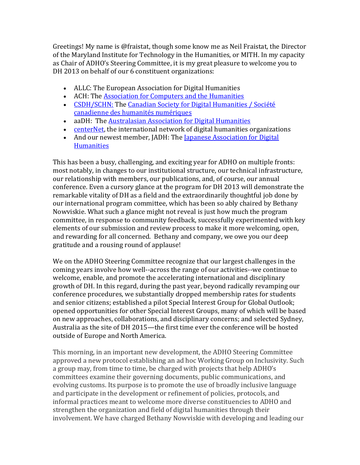Greetings! My name is @fraistat, though some know me as Neil Fraistat, the Director of the Maryland Institute for Technology in the Humanities, or MITH. In my capacity as Chair of ADHO's Steering Committee, it is my great pleasure to welcome you to DH 2013 on behalf of our 6 constituent organizations:

- ALLC: The European Association for Digital Humanities
- ACH: The [Association for Computers and the Humanities](http://www.ach.org/)
- [CSDH/SCHN:](http://csdh-schn.org/) The [Canadian Society for Digital Humanities / Société](http://csdh-schn.org/)  [canadienne des humanités numériques](http://csdh-schn.org/)
- aaDH: The [Australasian Association for Digital Humanities](http://aa-dh.org/)
- [centerNet,](http://digitalhumanities.org/centernet/) the international network of digital humanities organizations
- And our newest member, JADH: The Japanese Association for Digital **[Humanities](http://www.jadh.org/)**

This has been a busy, challenging, and exciting year for ADHO on multiple fronts: most notably, in changes to our institutional structure, our technical infrastructure, our relationship with members, our publications, and, of course, our annual conference. Even a cursory glance at the program for DH 2013 will demonstrate the remarkable vitality of DH as a field and the extraordinarily thoughtful job done by our international program committee, which has been so ably chaired by Bethany Nowviskie. What such a glance might not reveal is just how much the program committee, in response to community feedback, successfully experimented with key elements of our submission and review process to make it more welcoming, open, and rewarding for all concerned. Bethany and company, we owe you our deep gratitude and a rousing round of applause!

We on the ADHO Steering Committee recognize that our largest challenges in the coming years involve how well--across the range of our activities--we continue to welcome, enable, and promote the accelerating international and disciplinary growth of DH. In this regard, during the past year, beyond radically revamping our conference procedures, we substantially dropped membership rates for students and senior citizens; established a pilot Special Interest Group for Global Outlook; opened opportunities for other Special Interest Groups, many of which will be based on new approaches, collaborations, and disciplinary concerns; and selected Sydney, Australia as the site of DH 2015—the first time ever the conference will be hosted outside of Europe and North America.

This morning, in an important new development, the ADHO Steering Committee approved a new protocol establishing an ad hoc Working Group on Inclusivity. Such a group may, from time to time, be charged with projects that help ADHO's committees examine their governing documents, public communications, and evolving customs. Its purpose is to promote the use of broadly inclusive language and participate in the development or refinement of policies, protocols, and informal practices meant to welcome more diverse constituencies to ADHO and strengthen the organization and field of digital humanities through their involvement. We have charged Bethany Nowviskie with developing and leading our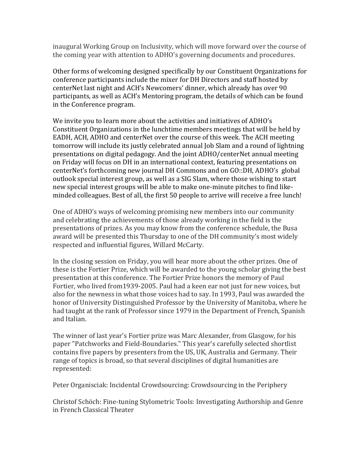inaugural Working Group on Inclusivity, which will move forward over the course of the coming year with attention to ADHO's governing documents and procedures.

Other forms of welcoming designed specifically by our Constituent Organizations for conference participants include the mixer for DH Directors and staff hosted by centerNet last night and ACH's Newcomers' dinner, which already has over 90 participants, as well as ACH's Mentoring program, the details of which can be found in the Conference program.

We invite you to learn more about the activities and initiatives of ADHO's Constituent Organizations in the lunchtime members meetings that will be held by EADH, ACH, ADHO and centerNet over the course of this week. The ACH meeting tomorrow will include its justly celebrated annual Job Slam and a round of lightning presentations on digital pedagogy. And the joint ADHO/centerNet annual meeting on Friday will focus on DH in an international context, featuring presentations on centerNet's forthcoming new journal DH Commons and on GO::DH, ADHO's global outlook special interest group, as well as a SIG Slam, where those wishing to start new special interest groups will be able to make one-minute pitches to find likeminded colleagues. Best of all, the first 50 people to arrive will receive a free lunch!

One of ADHO's ways of welcoming promising new members into our community and celebrating the achievements of those already working in the field is the presentations of prizes. As you may know from the conference schedule, the Busa award will be presented this Thursday to one of the DH community's most widely respected and influential figures, Willard McCarty.

In the closing session on Friday, you will hear more about the other prizes. One of these is the Fortier Prize, which will be awarded to the young scholar giving the best presentation at this conference. The Fortier Prize honors the memory of Paul Fortier, who lived from1939-2005. Paul had a keen ear not just for new voices, but also for the newness in what those voices had to say. In 1993, Paul was awarded the honor of University Distinguished Professor by the University of Manitoba, where he had taught at the rank of Professor since 1979 in the Department of French, Spanish and Italian.

The winner of last year's Fortier prize was Marc Alexander, from Glasgow, for his paper "Patchworks and Field-Boundaries." This year's carefully selected shortlist contains five papers by presenters from the US, UK, Australia and Germany. Their range of topics is broad, so that several disciplines of digital humanities are represented:

Peter Organisciak: Incidental Crowdsourcing: Crowdsourcing in the Periphery

Christof Schöch: Fine-tuning Stylometric Tools: Investigating Authorship and Genre in French Classical Theater